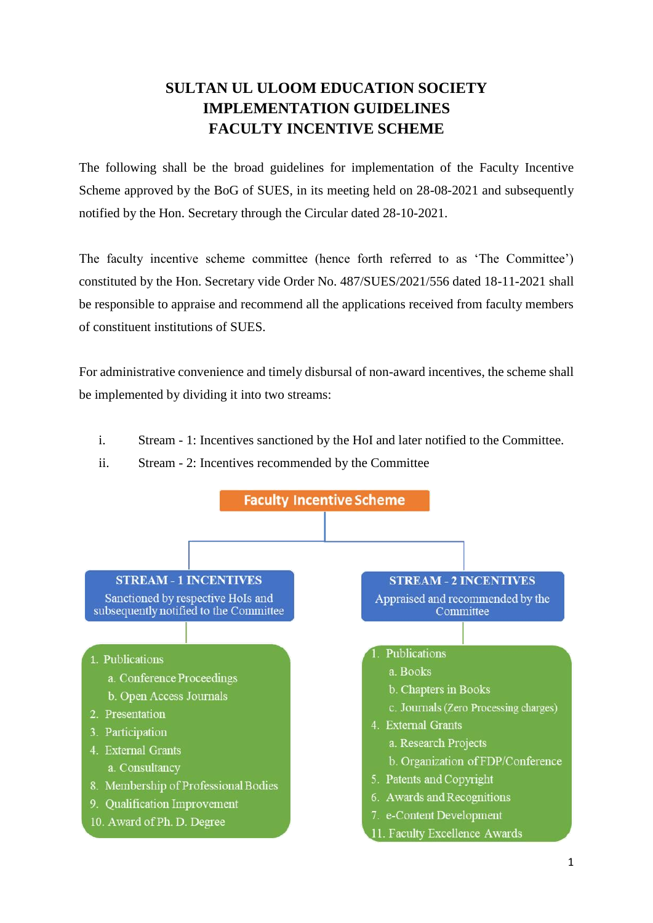## **SULTAN UL ULOOM EDUCATION SOCIETY IMPLEMENTATION GUIDELINES FACULTY INCENTIVE SCHEME**

The following shall be the broad guidelines for implementation of the Faculty Incentive Scheme approved by the BoG of SUES, in its meeting held on 28-08-2021 and subsequently notified by the Hon. Secretary through the Circular dated 28-10-2021.

The faculty incentive scheme committee (hence forth referred to as 'The Committee') constituted by the Hon. Secretary vide Order No. 487/SUES/2021/556 dated 18-11-2021 shall be responsible to appraise and recommend all the applications received from faculty members of constituent institutions of SUES.

For administrative convenience and timely disbursal of non-award incentives, the scheme shall be implemented by dividing it into two streams:

- i. Stream 1: Incentives sanctioned by the HoI and later notified to the Committee.
- ii. Stream 2: Incentives recommended by the Committee

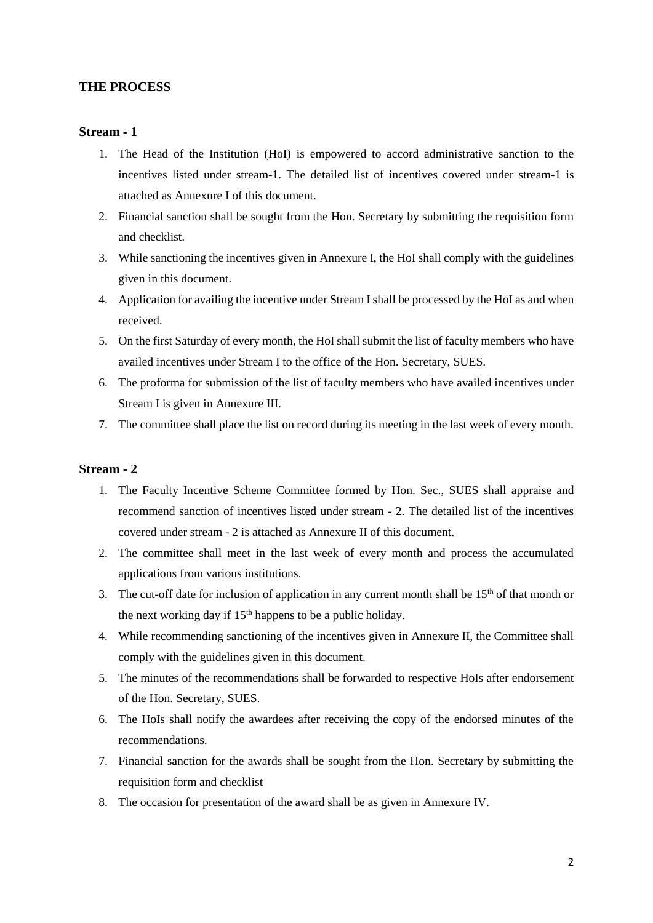#### **THE PROCESS**

#### **Stream - 1**

- 1. The Head of the Institution (HoI) is empowered to accord administrative sanction to the incentives listed under stream-1. The detailed list of incentives covered under stream-1 is attached as Annexure I of this document.
- 2. Financial sanction shall be sought from the Hon. Secretary by submitting the requisition form and checklist.
- 3. While sanctioning the incentives given in Annexure I, the HoI shall comply with the guidelines given in this document.
- 4. Application for availing the incentive under Stream I shall be processed by the HoI as and when received.
- 5. On the first Saturday of every month, the HoI shall submit the list of faculty members who have availed incentives under Stream I to the office of the Hon. Secretary, SUES.
- 6. The proforma for submission of the list of faculty members who have availed incentives under Stream I is given in Annexure III.
- 7. The committee shall place the list on record during its meeting in the last week of every month.

#### **Stream - 2**

- 1. The Faculty Incentive Scheme Committee formed by Hon. Sec., SUES shall appraise and recommend sanction of incentives listed under stream - 2. The detailed list of the incentives covered under stream - 2 is attached as Annexure II of this document.
- 2. The committee shall meet in the last week of every month and process the accumulated applications from various institutions.
- 3. The cut-off date for inclusion of application in any current month shall be  $15<sup>th</sup>$  of that month or the next working day if 15<sup>th</sup> happens to be a public holiday.
- 4. While recommending sanctioning of the incentives given in Annexure II, the Committee shall comply with the guidelines given in this document.
- 5. The minutes of the recommendations shall be forwarded to respective HoIs after endorsement of the Hon. Secretary, SUES.
- 6. The HoIs shall notify the awardees after receiving the copy of the endorsed minutes of the recommendations.
- 7. Financial sanction for the awards shall be sought from the Hon. Secretary by submitting the requisition form and checklist
- 8. The occasion for presentation of the award shall be as given in Annexure IV.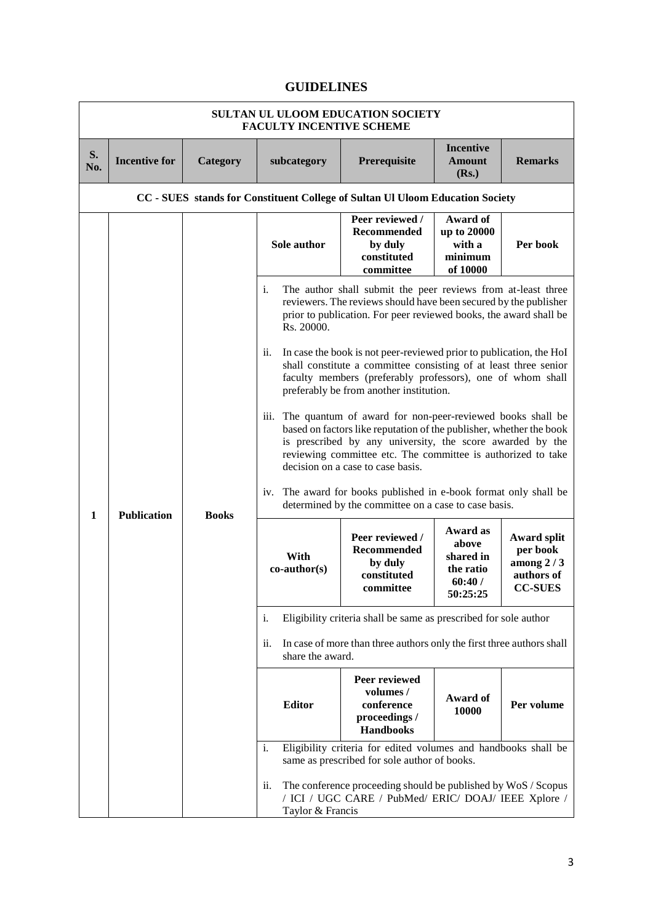### **GUIDELINES**

| SULTAN UL ULOOM EDUCATION SOCIETY<br><b>FACULTY INCENTIVE SCHEME</b> |                      |              |                                                                                                                                                                                                                           |                                                                                                                                                                                                                                                                                                    |                                                                   |                                                                               |  |
|----------------------------------------------------------------------|----------------------|--------------|---------------------------------------------------------------------------------------------------------------------------------------------------------------------------------------------------------------------------|----------------------------------------------------------------------------------------------------------------------------------------------------------------------------------------------------------------------------------------------------------------------------------------------------|-------------------------------------------------------------------|-------------------------------------------------------------------------------|--|
| S.<br>No.                                                            | <b>Incentive for</b> | Category     | subcategory                                                                                                                                                                                                               | Prerequisite                                                                                                                                                                                                                                                                                       | <b>Incentive</b><br><b>Amount</b><br>(Rs.)                        | <b>Remarks</b>                                                                |  |
|                                                                      |                      |              |                                                                                                                                                                                                                           | CC - SUES stands for Constituent College of Sultan Ul Uloom Education Society                                                                                                                                                                                                                      |                                                                   |                                                                               |  |
|                                                                      |                      |              | Sole author                                                                                                                                                                                                               | Peer reviewed /<br>Recommended<br>by duly<br>constituted<br>committee                                                                                                                                                                                                                              | Award of<br>up to 20000<br>with a<br>minimum<br>of 10000          | Per book                                                                      |  |
|                                                                      |                      |              | The author shall submit the peer reviews from at-least three<br>i.<br>reviewers. The reviews should have been secured by the publisher<br>prior to publication. For peer reviewed books, the award shall be<br>Rs. 20000. |                                                                                                                                                                                                                                                                                                    |                                                                   |                                                                               |  |
|                                                                      |                      |              | ii.                                                                                                                                                                                                                       | In case the book is not peer-reviewed prior to publication, the HoI<br>shall constitute a committee consisting of at least three senior<br>faculty members (preferably professors), one of whom shall<br>preferably be from another institution.                                                   |                                                                   |                                                                               |  |
|                                                                      |                      |              | iii.                                                                                                                                                                                                                      | The quantum of award for non-peer-reviewed books shall be<br>based on factors like reputation of the publisher, whether the book<br>is prescribed by any university, the score awarded by the<br>reviewing committee etc. The committee is authorized to take<br>decision on a case to case basis. |                                                                   |                                                                               |  |
| 1                                                                    | <b>Publication</b>   |              | iv.                                                                                                                                                                                                                       | The award for books published in e-book format only shall be<br>determined by the committee on a case to case basis.                                                                                                                                                                               |                                                                   |                                                                               |  |
|                                                                      |                      | <b>Books</b> | With<br>$co\text{-}author(s)$                                                                                                                                                                                             | Peer reviewed /<br>Recommended<br>by duly<br>constituted<br>committee                                                                                                                                                                                                                              | Award as<br>above<br>shared in<br>the ratio<br>60:40/<br>50:25:25 | <b>Award split</b><br>per book<br>among $2/3$<br>authors of<br><b>CC-SUES</b> |  |
|                                                                      |                      |              | i.                                                                                                                                                                                                                        | Eligibility criteria shall be same as prescribed for sole author                                                                                                                                                                                                                                   |                                                                   |                                                                               |  |
|                                                                      |                      |              | ii.<br>share the award.                                                                                                                                                                                                   | In case of more than three authors only the first three authors shall                                                                                                                                                                                                                              |                                                                   |                                                                               |  |
|                                                                      |                      |              | <b>Editor</b>                                                                                                                                                                                                             | Peer reviewed<br>volumes /<br>conference<br>proceedings /<br><b>Handbooks</b>                                                                                                                                                                                                                      | Award of<br>10000                                                 | Per volume                                                                    |  |
|                                                                      |                      |              | i.                                                                                                                                                                                                                        | Eligibility criteria for edited volumes and handbooks shall be<br>same as prescribed for sole author of books.                                                                                                                                                                                     |                                                                   |                                                                               |  |
|                                                                      |                      |              | ii.<br>Taylor & Francis                                                                                                                                                                                                   | The conference proceeding should be published by WoS / Scopus<br>/ ICI / UGC CARE / PubMed/ ERIC/ DOAJ/ IEEE Xplore /                                                                                                                                                                              |                                                                   |                                                                               |  |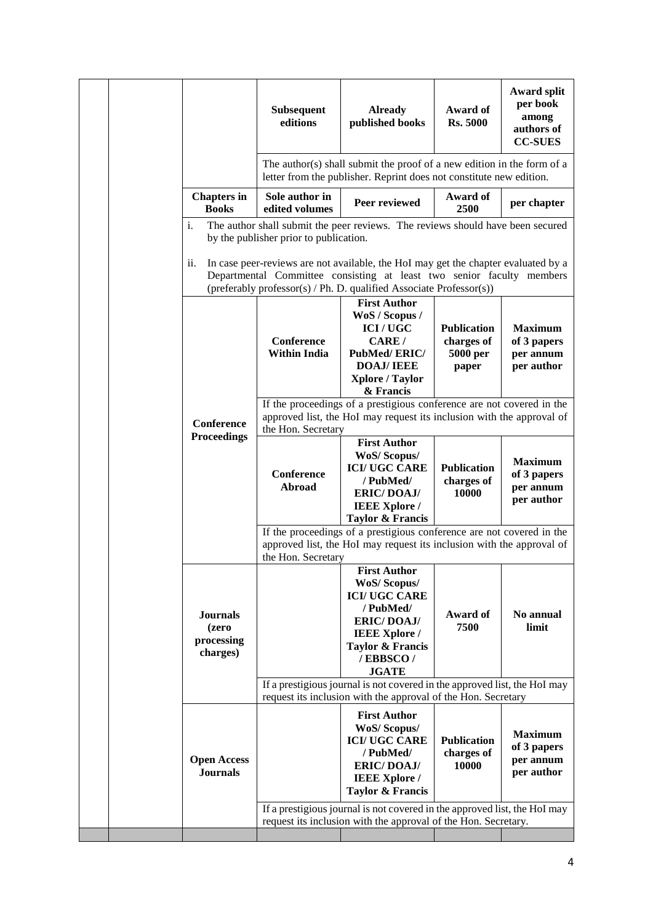|  |                                                    | <b>Subsequent</b><br>editions                     | <b>Already</b><br>published books                                                                                                                                                                                                                                                                                                                                                   | Award of<br><b>Rs. 5000</b>                           | <b>Award split</b><br>per book<br>among<br>authors of<br><b>CC-SUES</b> |
|--|----------------------------------------------------|---------------------------------------------------|-------------------------------------------------------------------------------------------------------------------------------------------------------------------------------------------------------------------------------------------------------------------------------------------------------------------------------------------------------------------------------------|-------------------------------------------------------|-------------------------------------------------------------------------|
|  |                                                    |                                                   | The author(s) shall submit the proof of a new edition in the form of a<br>letter from the publisher. Reprint does not constitute new edition.                                                                                                                                                                                                                                       |                                                       |                                                                         |
|  | <b>Chapters in</b><br><b>Books</b>                 | Sole author in<br>edited volumes                  | Peer reviewed                                                                                                                                                                                                                                                                                                                                                                       | Award of<br>2500                                      | per chapter                                                             |
|  | i.<br>11.                                          | by the publisher prior to publication.            | The author shall submit the peer reviews. The reviews should have been secured<br>In case peer-reviews are not available, the HoI may get the chapter evaluated by a<br>Departmental Committee consisting at least two senior faculty members                                                                                                                                       |                                                       |                                                                         |
|  |                                                    | Conference<br><b>Within India</b>                 | (preferably professor(s) / Ph. D. qualified Associate Professor(s))<br><b>First Author</b><br>WoS / Scopus /<br><b>ICI/UGC</b><br>CARE/<br><b>PubMed/ERIC/</b><br><b>DOAJ/IEEE</b><br><b>Xplore / Taylor</b><br>& Francis<br>If the proceedings of a prestigious conference are not covered in the                                                                                  | <b>Publication</b><br>charges of<br>5000 per<br>paper | <b>Maximum</b><br>of 3 papers<br>per annum<br>per author                |
|  | Conference<br><b>Proceedings</b>                   | the Hon. Secretary<br><b>Conference</b><br>Abroad | approved list, the HoI may request its inclusion with the approval of<br><b>First Author</b><br><b>WoS/Scopus/</b><br><b>ICI/UGC CARE</b><br>/PubMed/<br><b>ERIC/DOAJ/</b><br><b>IEEE Xplore /</b><br><b>Taylor &amp; Francis</b><br>If the proceedings of a prestigious conference are not covered in the<br>approved list, the HoI may request its inclusion with the approval of | <b>Publication</b><br>charges of<br>10000             | <b>Maximum</b><br>of 3 papers<br>per annum<br>per author                |
|  | <b>Journals</b><br>(zero<br>processing<br>charges) | the Hon. Secretary                                | <b>First Author</b><br><b>WoS/Scopus/</b><br><b>ICI/UGC CARE</b><br>/PubMed/<br><b>ERIC/DOAJ/</b><br><b>IEEE Xplore /</b><br><b>Taylor &amp; Francis</b><br>/EBBSCO/<br><b>JGATE</b>                                                                                                                                                                                                | Award of<br>7500                                      | No annual<br>limit                                                      |
|  |                                                    |                                                   | If a prestigious journal is not covered in the approved list, the HoI may<br>request its inclusion with the approval of the Hon. Secretary                                                                                                                                                                                                                                          |                                                       |                                                                         |
|  | <b>Open Access</b><br><b>Journals</b>              |                                                   | <b>First Author</b><br><b>WoS/Scopus/</b><br><b>ICI/UGC CARE</b><br>/ PubMed/<br><b>ERIC/DOAJ/</b><br><b>IEEE Xplore</b> /<br><b>Taylor &amp; Francis</b>                                                                                                                                                                                                                           | <b>Publication</b><br>charges of<br>10000             | <b>Maximum</b><br>of 3 papers<br>per annum<br>per author                |
|  |                                                    |                                                   | If a prestigious journal is not covered in the approved list, the HoI may<br>request its inclusion with the approval of the Hon. Secretary.                                                                                                                                                                                                                                         |                                                       |                                                                         |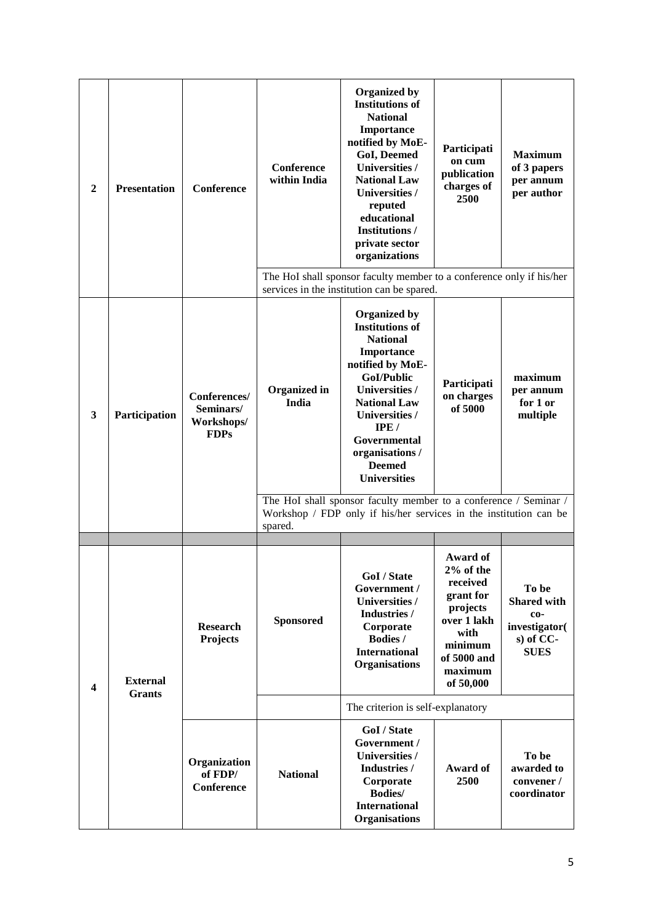| $\boldsymbol{2}$        | <b>Presentation</b>              | Conference                                             | <b>Conference</b><br>within India | Organized by<br><b>Institutions of</b><br><b>National</b><br>Importance<br>notified by MoE-<br><b>GoI, Deemed</b><br><b>Universities /</b><br><b>National Law</b><br>Universities /<br>reputed<br>educational<br><b>Institutions /</b><br>private sector<br>organizations<br>The HoI shall sponsor faculty member to a conference only if his/her                         | Participati<br>on cum<br>publication<br>charges of<br>2500                                                                          | <b>Maximum</b><br>of 3 papers<br>per annum<br>per author                        |
|-------------------------|----------------------------------|--------------------------------------------------------|-----------------------------------|---------------------------------------------------------------------------------------------------------------------------------------------------------------------------------------------------------------------------------------------------------------------------------------------------------------------------------------------------------------------------|-------------------------------------------------------------------------------------------------------------------------------------|---------------------------------------------------------------------------------|
| $\mathbf{3}$            | Participation                    | Conferences/<br>Seminars/<br>Workshops/<br><b>FDPs</b> | <b>Organized</b> in<br>India      | services in the institution can be spared.<br>Organized by<br><b>Institutions of</b><br><b>National</b><br>Importance<br>notified by MoE-<br>GoI/Public<br>Universities /<br><b>National Law</b><br>Universities /<br>IPE/<br>Governmental<br>organisations /<br><b>Deemed</b><br><b>Universities</b><br>The HoI shall sponsor faculty member to a conference / Seminar / | Participati<br>on charges<br>of 5000                                                                                                | maximum<br>per annum<br>for 1 or<br>multiple                                    |
|                         |                                  |                                                        | spared.                           | Workshop / FDP only if his/her services in the institution can be                                                                                                                                                                                                                                                                                                         |                                                                                                                                     |                                                                                 |
| $\overline{\mathbf{4}}$ | <b>External</b><br><b>Grants</b> | <b>Research</b><br><b>Projects</b>                     | <b>Sponsored</b>                  | GoI / State<br>Government /<br>Universities /<br>Industries /<br>Corporate<br>Bodies /<br><b>International</b><br>Organisations                                                                                                                                                                                                                                           | Award of<br>2% of the<br>received<br>grant for<br>projects<br>over 1 lakh<br>with<br>minimum<br>of 5000 and<br>maximum<br>of 50,000 | To be<br><b>Shared with</b><br>co-<br>investigator(<br>s) of CC-<br><b>SUES</b> |
|                         |                                  |                                                        |                                   | The criterion is self-explanatory                                                                                                                                                                                                                                                                                                                                         |                                                                                                                                     |                                                                                 |
|                         |                                  | Organization<br>of FDP/<br><b>Conference</b>           | <b>National</b>                   | GoI / State<br>Government /<br>Universities /<br>Industries /<br>Corporate<br><b>Bodies/</b><br><b>International</b><br><b>Organisations</b>                                                                                                                                                                                                                              | Award of<br>2500                                                                                                                    | To be<br>awarded to<br>convener /<br>coordinator                                |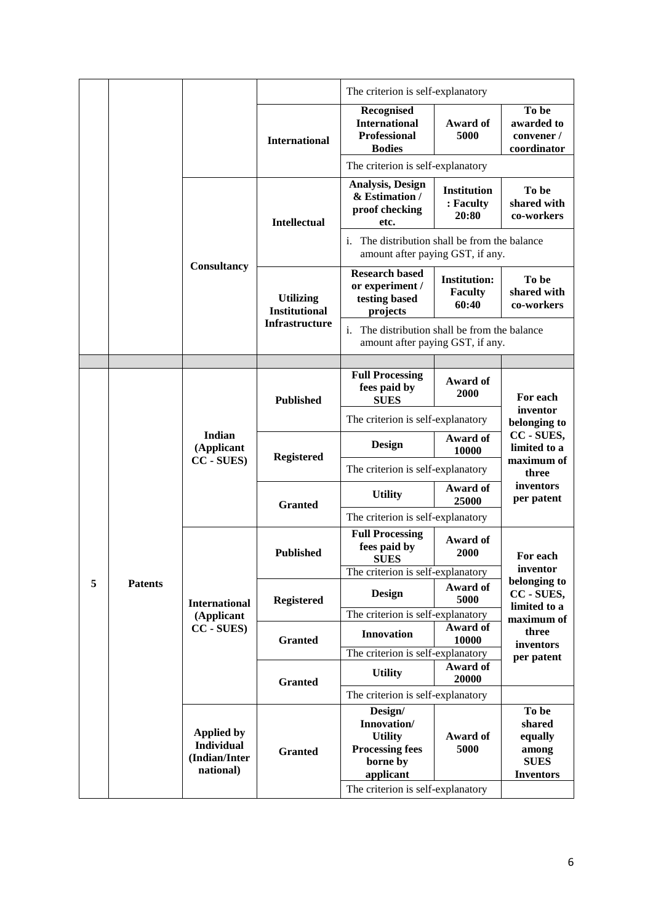|   |                |                                                                      |                                          | The criterion is self-explanatory                                                                |                                                |                                                                                  |
|---|----------------|----------------------------------------------------------------------|------------------------------------------|--------------------------------------------------------------------------------------------------|------------------------------------------------|----------------------------------------------------------------------------------|
|   |                |                                                                      | <b>International</b>                     | Recognised<br><b>International</b><br><b>Professional</b><br><b>Bodies</b>                       | Award of<br>5000                               | To be<br>awarded to<br>convener /<br>coordinator                                 |
|   |                |                                                                      |                                          | The criterion is self-explanatory                                                                |                                                |                                                                                  |
|   |                |                                                                      | <b>Intellectual</b>                      | Analysis, Design<br>& Estimation /<br>proof checking<br>etc.                                     | <b>Institution</b><br>: Faculty<br>20:80       | To be<br>shared with<br>co-workers                                               |
|   |                |                                                                      |                                          | The distribution shall be from the balance<br>$\mathbf{1}$ .<br>amount after paying GST, if any. |                                                |                                                                                  |
|   |                | Consultancy                                                          | <b>Utilizing</b><br><b>Institutional</b> | <b>Research based</b><br>or experiment /<br>testing based<br>projects                            | <b>Institution:</b><br><b>Faculty</b><br>60:40 | To be<br>shared with<br>co-workers                                               |
|   |                |                                                                      | <b>Infrastructure</b>                    | The distribution shall be from the balance<br>i.<br>amount after paying GST, if any.             |                                                |                                                                                  |
|   |                |                                                                      |                                          |                                                                                                  |                                                |                                                                                  |
|   |                | Indian<br>(Applicant<br>CC - SUES)                                   | <b>Published</b>                         | <b>Full Processing</b><br>fees paid by<br><b>SUES</b>                                            | Award of<br>2000                               | For each<br>inventor<br>belonging to<br>CC - SUES,<br>limited to a<br>maximum of |
|   |                |                                                                      |                                          | The criterion is self-explanatory                                                                |                                                |                                                                                  |
|   |                |                                                                      | <b>Registered</b><br><b>Granted</b>      | Design                                                                                           | Award of<br>10000                              |                                                                                  |
|   |                |                                                                      |                                          | The criterion is self-explanatory                                                                |                                                | three                                                                            |
|   |                |                                                                      |                                          | <b>Utility</b>                                                                                   | Award of<br>25000                              | inventors<br>per patent                                                          |
|   |                |                                                                      |                                          | The criterion is self-explanatory                                                                |                                                |                                                                                  |
|   |                |                                                                      | <b>Published</b>                         | <b>Full Processing</b><br>fees paid by<br><b>SUES</b>                                            | Award of<br>2000                               | For each                                                                         |
| 5 |                |                                                                      |                                          | The criterion is self-explanatory                                                                |                                                | inventor<br>belonging to                                                         |
|   | <b>Patents</b> | <b>International</b>                                                 | <b>Registered</b>                        | Design                                                                                           | Award of<br>5000                               | CC - SUES,<br>limited to a                                                       |
|   |                | (Applicant                                                           |                                          | The criterion is self-explanatory                                                                |                                                | maximum of                                                                       |
|   |                | CC - SUES)                                                           | <b>Granted</b>                           | <b>Innovation</b><br>The criterion is self-explanatory                                           | Award of<br>10000                              | three<br>inventors<br>per patent                                                 |
|   |                |                                                                      |                                          | <b>Utility</b>                                                                                   | Award of<br>20000                              |                                                                                  |
|   |                |                                                                      | <b>Granted</b>                           | The criterion is self-explanatory                                                                |                                                |                                                                                  |
|   |                | <b>Applied by</b><br><b>Individual</b><br>(Indian/Inter<br>national) |                                          | Design/<br>Innovation/                                                                           |                                                | To be<br>shared                                                                  |
|   |                |                                                                      | <b>Granted</b>                           | <b>Utility</b><br><b>Processing fees</b><br>borne by<br>applicant                                | Award of<br>5000                               | equally<br>among<br><b>SUES</b><br><b>Inventors</b>                              |
|   |                |                                                                      |                                          | The criterion is self-explanatory                                                                |                                                |                                                                                  |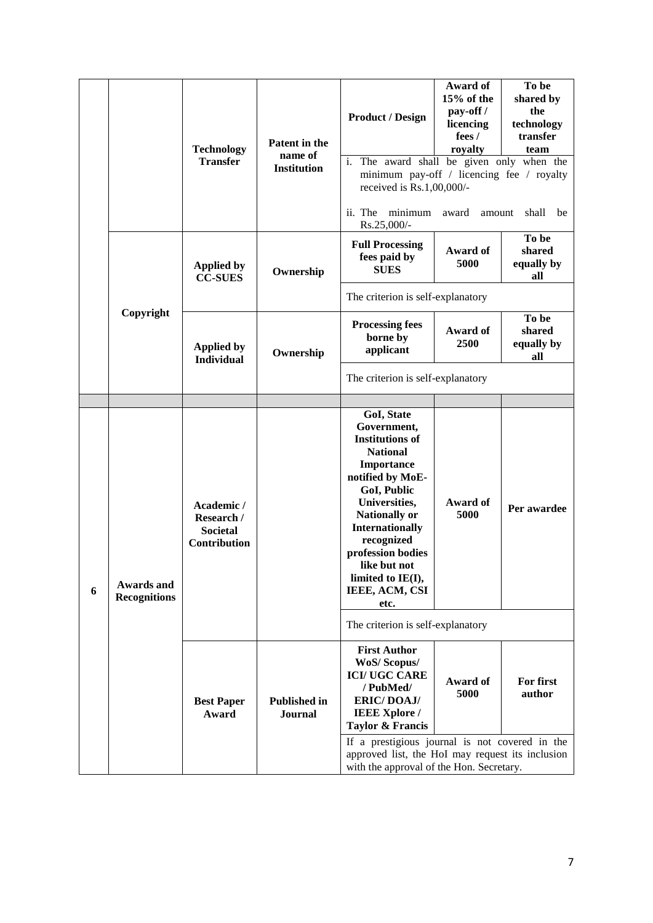|   |                                          | <b>Technology</b><br><b>Transfer</b>                               | Patent in the<br>name of<br><b>Institution</b> | <b>Product / Design</b><br>i.<br>The award shall be given only when the                                                                                                                                                                                                                      | Award of<br>15% of the<br>pay-off/<br>licencing<br>fees /<br>royalty | To be<br>shared by<br>the<br>technology<br>transfer<br>team |
|---|------------------------------------------|--------------------------------------------------------------------|------------------------------------------------|----------------------------------------------------------------------------------------------------------------------------------------------------------------------------------------------------------------------------------------------------------------------------------------------|----------------------------------------------------------------------|-------------------------------------------------------------|
|   |                                          |                                                                    |                                                | minimum pay-off / licencing fee / royalty<br>received is Rs.1,00,000/-<br>minimum<br>ii. The<br>Rs.25,000/-                                                                                                                                                                                  | award<br>amount                                                      | shall<br>be                                                 |
|   |                                          | <b>Applied by</b><br><b>CC-SUES</b>                                | Ownership                                      | <b>Full Processing</b><br>fees paid by<br><b>SUES</b>                                                                                                                                                                                                                                        | Award of<br>5000                                                     | To be<br>shared<br>equally by<br>all                        |
|   |                                          |                                                                    |                                                | The criterion is self-explanatory                                                                                                                                                                                                                                                            |                                                                      |                                                             |
|   | Copyright                                | <b>Applied by</b><br><b>Individual</b>                             | Ownership                                      | <b>Processing fees</b><br>borne by<br>applicant                                                                                                                                                                                                                                              | Award of<br>2500                                                     | To be<br>shared<br>equally by<br>all                        |
|   |                                          |                                                                    |                                                | The criterion is self-explanatory                                                                                                                                                                                                                                                            |                                                                      |                                                             |
|   |                                          |                                                                    |                                                |                                                                                                                                                                                                                                                                                              |                                                                      |                                                             |
| 6 | <b>Awards and</b><br><b>Recognitions</b> | Academic /<br>Research /<br><b>Societal</b><br><b>Contribution</b> |                                                | GoI, State<br>Government,<br><b>Institutions of</b><br><b>National</b><br>Importance<br>notified by MoE-<br>GoI, Public<br>Universities,<br><b>Nationally or</b><br><b>Internationally</b><br>recognized<br>profession bodies<br>like but not<br>limited to IE(I),<br>IEEE, ACM, CSI<br>etc. | Award of<br>5000                                                     | Per awardee                                                 |
|   |                                          |                                                                    |                                                | The criterion is self-explanatory                                                                                                                                                                                                                                                            |                                                                      |                                                             |
|   |                                          | <b>Best Paper</b><br>Award                                         | <b>Published in</b><br><b>Journal</b>          | <b>First Author</b><br><b>WoS/Scopus/</b><br><b>ICI/UGC CARE</b><br>/ PubMed/<br><b>ERIC/DOAJ/</b><br><b>IEEE Xplore /</b><br><b>Taylor &amp; Francis</b>                                                                                                                                    | Award of<br>5000                                                     | For first<br>author                                         |
|   |                                          |                                                                    |                                                | If a prestigious journal is not covered in the<br>approved list, the HoI may request its inclusion<br>with the approval of the Hon. Secretary.                                                                                                                                               |                                                                      |                                                             |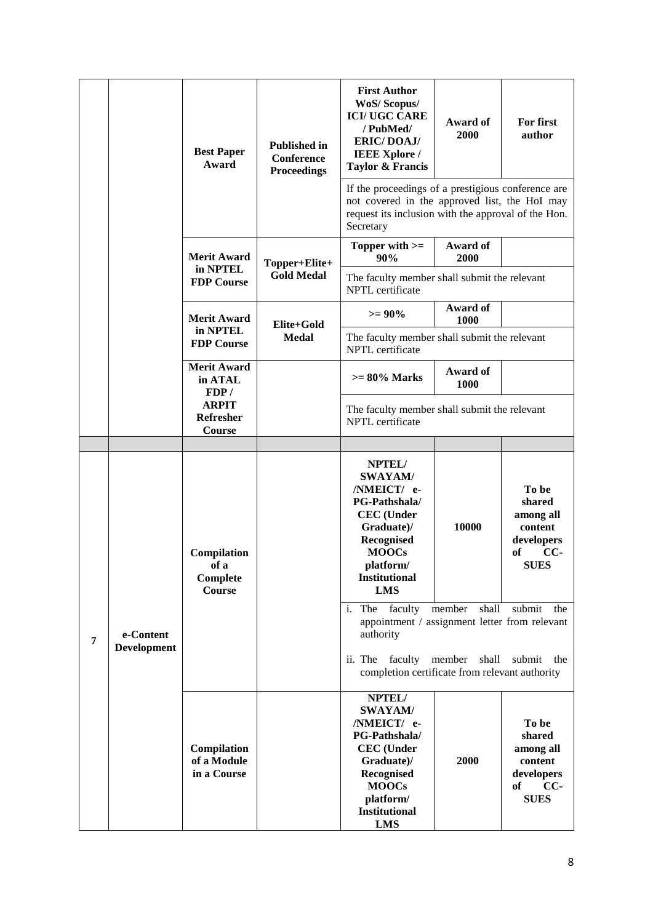|   |                                                     | <b>Best Paper</b><br>Award                       | <b>Published in</b><br><b>Conference</b><br><b>Proceedings</b>   | <b>First Author</b><br>WoS/Scopus/<br><b>ICI/UGC CARE</b><br>/ PubMed/<br><b>ERIC/DOAJ/</b><br><b>IEEE Xplore /</b><br><b>Taylor &amp; Francis</b>                           | Award of<br>2000         | For first<br>author                                                                 |
|---|-----------------------------------------------------|--------------------------------------------------|------------------------------------------------------------------|------------------------------------------------------------------------------------------------------------------------------------------------------------------------------|--------------------------|-------------------------------------------------------------------------------------|
|   |                                                     |                                                  |                                                                  | If the proceedings of a prestigious conference are<br>not covered in the approved list, the HoI may<br>request its inclusion with the approval of the Hon.<br>Secretary      |                          |                                                                                     |
|   |                                                     | <b>Merit Award</b>                               | Topper+Elite+                                                    | Topper with >=<br>90%                                                                                                                                                        | Award of<br>2000         |                                                                                     |
|   | in NPTEL<br><b>FDP Course</b><br><b>Merit Award</b> | <b>Gold Medal</b>                                | The faculty member shall submit the relevant<br>NPTL certificate |                                                                                                                                                                              |                          |                                                                                     |
|   |                                                     |                                                  | Elite+Gold                                                       | $>= 90\%$                                                                                                                                                                    | Award of<br>1000         |                                                                                     |
|   |                                                     | in NPTEL<br><b>FDP Course</b>                    | <b>Medal</b>                                                     | The faculty member shall submit the relevant<br>NPTL certificate                                                                                                             |                          |                                                                                     |
|   |                                                     | <b>Merit Award</b><br>in ATAL<br>FDP/            |                                                                  | $>= 80\%$ Marks                                                                                                                                                              | Award of<br>1000         |                                                                                     |
|   |                                                     | <b>ARPIT</b><br>Refresher<br>Course              |                                                                  | The faculty member shall submit the relevant<br>NPTL certificate                                                                                                             |                          |                                                                                     |
|   |                                                     |                                                  |                                                                  |                                                                                                                                                                              |                          |                                                                                     |
|   |                                                     | Compilation<br>of a<br>Complete<br><b>Course</b> |                                                                  | NPTEL/<br><b>SWAYAM/</b><br>/NMEICT/ e-<br>PG-Pathshala/<br><b>CEC</b> (Under<br>Graduate)/<br>Recognised<br><b>MOOCs</b><br>platform/<br><b>Institutional</b><br><b>LMS</b> | 10000                    | To be<br>shared<br>among all<br>content<br>developers<br>of<br>$CC-$<br><b>SUES</b> |
| 7 | e-Content<br><b>Development</b>                     |                                                  |                                                                  | faculty<br>i. The<br>appointment / assignment letter from relevant<br>authority<br>ii. The faculty member<br>completion certificate from relevant authority                  | member<br>shall<br>shall | submit<br>the<br>submit<br>the                                                      |
|   |                                                     | Compilation<br>of a Module<br>in a Course        |                                                                  | NPTEL/<br><b>SWAYAM/</b><br>/NMEICT/ e-<br>PG-Pathshala/<br><b>CEC</b> (Under<br>Graduate)/<br>Recognised<br><b>MOOCs</b><br>platform/                                       | 2000                     | To be<br>shared<br>among all<br>content<br>developers<br>of<br>$CC-$<br><b>SUES</b> |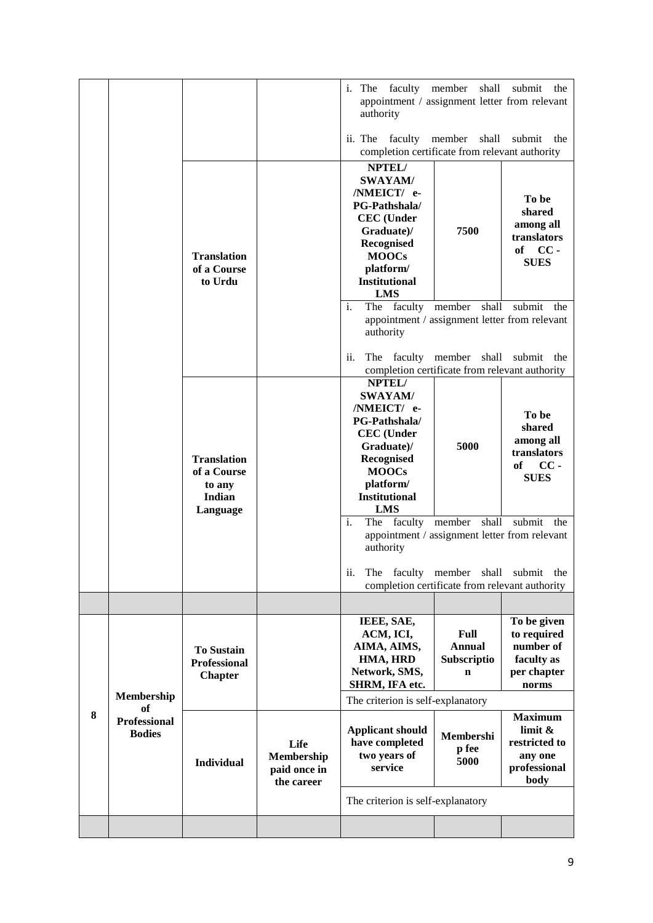|   |                                                          |                                                                   |                                                  | i. The faculty member<br>appointment / assignment letter from relevant<br>authority<br>ii. The                                                                                                                                        | shall<br>faculty member shall                       | submit the<br>submit<br>the                                                   |
|---|----------------------------------------------------------|-------------------------------------------------------------------|--------------------------------------------------|---------------------------------------------------------------------------------------------------------------------------------------------------------------------------------------------------------------------------------------|-----------------------------------------------------|-------------------------------------------------------------------------------|
|   |                                                          | <b>Translation</b><br>of a Course<br>to Urdu                      |                                                  | completion certificate from relevant authority<br>NPTEL/<br><b>SWAYAM/</b><br>/NMEICT/ e-<br><b>PG-Pathshala/</b><br><b>CEC</b> (Under<br>Graduate)/<br>Recognised<br><b>MOOCs</b><br>platform/<br><b>Institutional</b><br><b>LMS</b> | 7500                                                | To be<br>shared<br>among all<br>translators<br>of CC-<br><b>SUES</b>          |
|   |                                                          |                                                                   |                                                  | The faculty member<br>$\mathbf{i}$ .<br>appointment / assignment letter from relevant<br>authority<br>ii.<br>The faculty member shall<br>completion certificate from relevant authority                                               | shall                                               | submit<br>the<br>submit<br>the                                                |
|   |                                                          | <b>Translation</b><br>of a Course<br>to any<br>Indian<br>Language |                                                  | NPTEL/<br><b>SWAYAM/</b><br>/NMEICT/ e-<br>PG-Pathshala/<br><b>CEC</b> (Under<br>Graduate)/<br>Recognised<br><b>MOOCs</b><br>platform/<br><b>Institutional</b><br><b>LMS</b>                                                          | 5000                                                | To be<br>shared<br>among all<br>translators<br>$CC -$<br>of<br><b>SUES</b>    |
|   |                                                          |                                                                   |                                                  | $\mathbf{i}$ .<br>The faculty member<br>appointment / assignment letter from relevant<br>authority<br>ii.<br>The<br>completion certificate from relevant authority                                                                    | shall<br>faculty member shall                       | submit the<br>submit the                                                      |
|   |                                                          | <b>To Sustain</b><br><b>Professional</b><br><b>Chapter</b>        |                                                  | IEEE, SAE,<br>ACM, ICI,<br>AIMA, AIMS,<br>HMA, HRD<br>Network, SMS,<br>SHRM, IFA etc.                                                                                                                                                 | Full<br><b>Annual</b><br>Subscriptio<br>$\mathbf n$ | To be given<br>to required<br>number of<br>faculty as<br>per chapter<br>norms |
| 8 | Membership<br>оf<br><b>Professional</b><br><b>Bodies</b> | <b>Individual</b>                                                 | Life<br>Membership<br>paid once in<br>the career | The criterion is self-explanatory<br><b>Applicant should</b><br>have completed<br>two years of<br>service                                                                                                                             | Membershi<br>p fee<br>5000                          | <b>Maximum</b><br>limit &<br>restricted to<br>any one<br>professional<br>body |
|   |                                                          |                                                                   |                                                  | The criterion is self-explanatory                                                                                                                                                                                                     |                                                     |                                                                               |
|   |                                                          |                                                                   |                                                  |                                                                                                                                                                                                                                       |                                                     |                                                                               |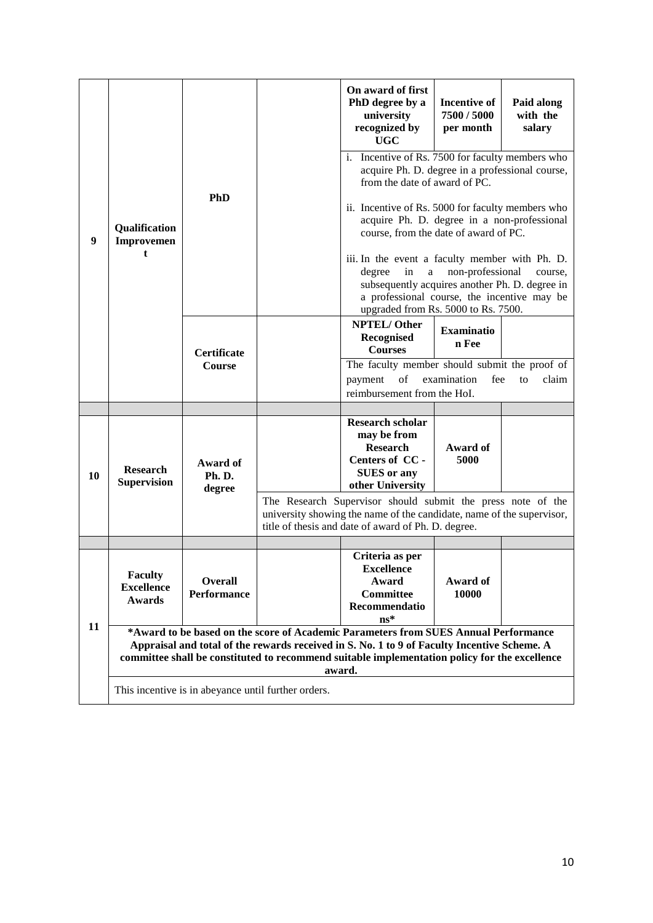|                  |                                                      |                                      |                                                     | On award of first<br>PhD degree by a<br>university<br>recognized by<br><b>UGC</b>                                                                                                                                                                                                             | <b>Incentive of</b><br>7500 / 5000<br>per month | Paid along<br>with the<br>salary |
|------------------|------------------------------------------------------|--------------------------------------|-----------------------------------------------------|-----------------------------------------------------------------------------------------------------------------------------------------------------------------------------------------------------------------------------------------------------------------------------------------------|-------------------------------------------------|----------------------------------|
|                  |                                                      |                                      |                                                     | i. Incentive of Rs. 7500 for faculty members who<br>acquire Ph. D. degree in a professional course,<br>from the date of award of PC.                                                                                                                                                          |                                                 |                                  |
| $\boldsymbol{9}$ | Qualification<br>Improvemen                          | <b>PhD</b>                           |                                                     | ii. Incentive of Rs. 5000 for faculty members who<br>acquire Ph. D. degree in a non-professional<br>course, from the date of award of PC.                                                                                                                                                     |                                                 |                                  |
|                  | t                                                    |                                      |                                                     | iii. In the event a faculty member with Ph. D.<br>degree<br>in<br>a<br>subsequently acquires another Ph. D. degree in<br>a professional course, the incentive may be<br>upgraded from Rs. 5000 to Rs. 7500.                                                                                   | non-professional                                | course,                          |
|                  |                                                      | Certificate<br>Course                |                                                     | NPTEL/Other<br>Recognised<br><b>Courses</b>                                                                                                                                                                                                                                                   | <b>Examinatio</b><br>n Fee                      |                                  |
|                  |                                                      |                                      |                                                     | The faculty member should submit the proof of                                                                                                                                                                                                                                                 |                                                 |                                  |
|                  |                                                      |                                      |                                                     | of<br>payment<br>reimbursement from the HoI.                                                                                                                                                                                                                                                  | examination<br>fee                              | claim<br>to                      |
|                  |                                                      |                                      |                                                     |                                                                                                                                                                                                                                                                                               |                                                 |                                  |
| 10               | <b>Research</b><br><b>Supervision</b>                | Award of<br>Ph.D.<br>degree          |                                                     | <b>Research scholar</b><br>may be from<br><b>Research</b><br>Centers of CC -<br><b>SUES</b> or any<br>other University                                                                                                                                                                        | Award of<br>5000                                |                                  |
|                  |                                                      |                                      |                                                     | The Research Supervisor should submit the press note of the<br>university showing the name of the candidate, name of the supervisor,<br>title of thesis and date of award of Ph. D. degree.                                                                                                   |                                                 |                                  |
|                  |                                                      |                                      |                                                     |                                                                                                                                                                                                                                                                                               |                                                 |                                  |
|                  | <b>Faculty</b><br><b>Excellence</b><br><b>Awards</b> | <b>Overall</b><br><b>Performance</b> |                                                     | Criteria as per<br><b>Excellence</b><br>Award<br>Committee<br>Recommendatio<br>$ns*$                                                                                                                                                                                                          | Award of<br>10000                               |                                  |
| 11               |                                                      |                                      |                                                     | *Award to be based on the score of Academic Parameters from SUES Annual Performance<br>Appraisal and total of the rewards received in S. No. 1 to 9 of Faculty Incentive Scheme. A<br>committee shall be constituted to recommend suitable implementation policy for the excellence<br>award. |                                                 |                                  |
|                  |                                                      |                                      | This incentive is in abeyance until further orders. |                                                                                                                                                                                                                                                                                               |                                                 |                                  |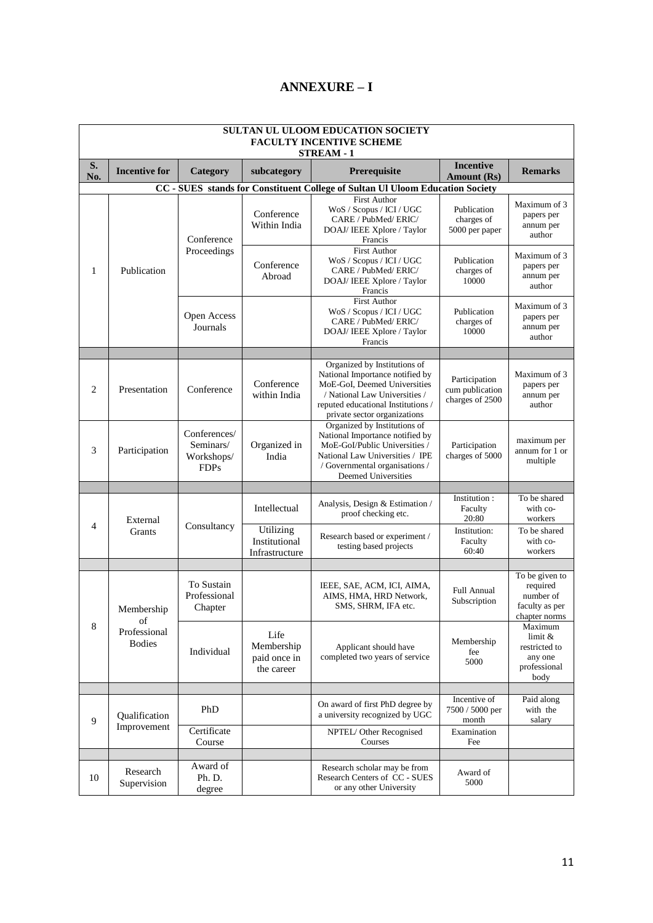|              | <b>SULTAN UL ULOOM EDUCATION SOCIETY</b><br><b>FACULTY INCENTIVE SCHEME</b><br><b>STREAM - 1</b> |                                                        |                                                  |                                                                                                                                                                                                        |                                                     |                                                                            |  |  |
|--------------|--------------------------------------------------------------------------------------------------|--------------------------------------------------------|--------------------------------------------------|--------------------------------------------------------------------------------------------------------------------------------------------------------------------------------------------------------|-----------------------------------------------------|----------------------------------------------------------------------------|--|--|
| S.<br>No.    | <b>Incentive for</b>                                                                             | Category                                               | subcategory                                      | Prerequisite                                                                                                                                                                                           | <b>Incentive</b><br>Amount (Rs)                     | <b>Remarks</b>                                                             |  |  |
|              |                                                                                                  |                                                        |                                                  | CC - SUES stands for Constituent College of Sultan Ul Uloom Education Society                                                                                                                          |                                                     |                                                                            |  |  |
|              |                                                                                                  | Conference                                             | Conference<br>Within India                       | <b>First Author</b><br>WoS / Scopus / ICI / UGC<br>CARE / PubMed/ ERIC/<br>DOAJ/ IEEE Xplore / Taylor<br>Francis                                                                                       | Publication<br>charges of<br>5000 per paper         | Maximum of 3<br>papers per<br>annum per<br>author                          |  |  |
| $\mathbf{1}$ | Publication                                                                                      | Proceedings                                            | Conference<br>Abroad                             | First Author<br>WoS / Scopus / ICI / UGC<br>CARE / PubMed/ ERIC/<br>DOAJ/ IEEE Xplore / Taylor<br>Francis                                                                                              | Publication<br>charges of<br>10000                  | Maximum of 3<br>papers per<br>annum per<br>author                          |  |  |
|              |                                                                                                  | Open Access<br>Journals                                |                                                  | <b>First Author</b><br>WoS / Scopus / ICI / UGC<br>CARE / PubMed/ ERIC/<br>DOAJ/ IEEE Xplore / Taylor<br>Francis                                                                                       | Publication<br>charges of<br>10000                  | Maximum of 3<br>papers per<br>annum per<br>author                          |  |  |
|              |                                                                                                  |                                                        |                                                  |                                                                                                                                                                                                        |                                                     |                                                                            |  |  |
| 2            | Presentation                                                                                     | Conference                                             | Conference<br>within India                       | Organized by Institutions of<br>National Importance notified by<br>MoE-GoI, Deemed Universities<br>/ National Law Universities /<br>reputed educational Institutions /<br>private sector organizations | Participation<br>cum publication<br>charges of 2500 | Maximum of 3<br>papers per<br>annum per<br>author                          |  |  |
| 3            | Participation                                                                                    | Conferences/<br>Seminars/<br>Workshops/<br><b>FDPs</b> | Organized in<br>India                            | Organized by Institutions of<br>National Importance notified by<br>MoE-GoI/Public Universities /<br>National Law Universities / IPE<br>/ Governmental organisations /<br>Deemed Universities           | Participation<br>charges of 5000                    | maximum per<br>annum for 1 or<br>multiple                                  |  |  |
|              |                                                                                                  |                                                        |                                                  |                                                                                                                                                                                                        |                                                     |                                                                            |  |  |
|              | External                                                                                         |                                                        | Intellectual                                     | Analysis, Design & Estimation /<br>proof checking etc.                                                                                                                                                 | Institution:<br>Faculty<br>20:80                    | To be shared<br>with co-<br>workers                                        |  |  |
| 4            | Grants                                                                                           | Consultancy                                            | Utilizing<br>Institutional<br>Infrastructure     | Research based or experiment /<br>testing based projects                                                                                                                                               | Institution:<br>Faculty<br>60:40                    | To be shared<br>with co-<br>workers                                        |  |  |
|              |                                                                                                  |                                                        |                                                  |                                                                                                                                                                                                        |                                                     |                                                                            |  |  |
|              | Membership<br>of                                                                                 | To Sustain<br>Professional<br>Chapter                  |                                                  | IEEE, SAE, ACM, ICI, AIMA,<br>AIMS, HMA, HRD Network,<br>SMS, SHRM, IFA etc.                                                                                                                           | Full Annual<br>Subscription                         | To be given to<br>required<br>number of<br>faculty as per<br>chapter norms |  |  |
| 8            | Professional<br><b>Bodies</b>                                                                    | Individual                                             | Life<br>Membership<br>paid once in<br>the career | Applicant should have<br>completed two years of service                                                                                                                                                | Membership<br>fee<br>5000                           | Maximum<br>$limit \&$<br>restricted to<br>any one<br>professional<br>body  |  |  |
|              |                                                                                                  |                                                        |                                                  |                                                                                                                                                                                                        | Incentive of                                        | Paid along                                                                 |  |  |
| 9            | Qualification<br>Improvement                                                                     | PhD                                                    |                                                  | On award of first PhD degree by<br>a university recognized by UGC                                                                                                                                      | 7500 / 5000 per<br>month                            | with the<br>salary                                                         |  |  |
|              |                                                                                                  | Certificate<br>Course                                  |                                                  | NPTEL/Other Recognised<br>Courses                                                                                                                                                                      | Examination<br>Fee                                  |                                                                            |  |  |
|              |                                                                                                  |                                                        |                                                  |                                                                                                                                                                                                        |                                                     |                                                                            |  |  |
| 10           | Research<br>Supervision                                                                          | Award of<br>Ph. D.<br>degree                           |                                                  | Research scholar may be from<br>Research Centers of CC - SUES<br>or any other University                                                                                                               | Award of<br>5000                                    |                                                                            |  |  |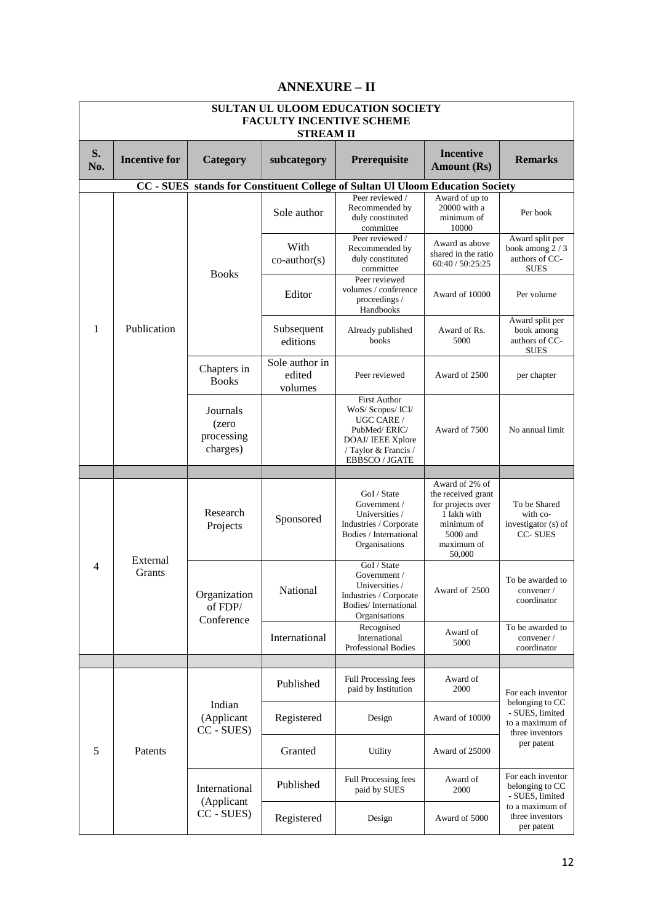|           | SULTAN UL ULOOM EDUCATION SOCIETY<br><b>FACULTY INCENTIVE SCHEME</b><br><b>STREAM II</b> |                                               |                                                                                                                  |                                                                                                                                              |                                                                                                                            |                                                                          |  |  |
|-----------|------------------------------------------------------------------------------------------|-----------------------------------------------|------------------------------------------------------------------------------------------------------------------|----------------------------------------------------------------------------------------------------------------------------------------------|----------------------------------------------------------------------------------------------------------------------------|--------------------------------------------------------------------------|--|--|
| S.<br>No. | <b>Incentive for</b>                                                                     | Category                                      | subcategory                                                                                                      | Prerequisite                                                                                                                                 | <b>Incentive</b><br><b>Amount (Rs)</b>                                                                                     | <b>Remarks</b>                                                           |  |  |
|           |                                                                                          |                                               |                                                                                                                  | CC - SUES stands for Constituent College of Sultan Ul Uloom Education Society                                                                |                                                                                                                            |                                                                          |  |  |
|           |                                                                                          |                                               | Sole author                                                                                                      | Peer reviewed /<br>Recommended by<br>duly constituted<br>committee<br>Peer reviewed /                                                        | Award of up to<br>20000 with a<br>minimum of<br>10000                                                                      | Per book<br>Award split per                                              |  |  |
|           |                                                                                          | <b>Books</b>                                  | With<br>$co$ -author $(s)$                                                                                       | Recommended by<br>duly constituted<br>committee                                                                                              | Award as above<br>shared in the ratio<br>60:40 / 50:25:25                                                                  | book among 2/3<br>authors of CC-<br><b>SUES</b>                          |  |  |
|           |                                                                                          |                                               | Editor                                                                                                           | Peer reviewed<br>volumes / conference<br>proceedings /<br>Handbooks                                                                          | Award of 10000                                                                                                             | Per volume                                                               |  |  |
| 1         | Publication                                                                              |                                               | Subsequent<br>editions                                                                                           | Already published<br>books                                                                                                                   | Award of Rs.<br>5000                                                                                                       | Award split per<br>book among<br>authors of CC-<br><b>SUES</b>           |  |  |
|           |                                                                                          | Chapters in<br><b>Books</b>                   | Sole author in<br>edited<br>volumes                                                                              | Peer reviewed                                                                                                                                | Award of 2500                                                                                                              | per chapter                                                              |  |  |
|           |                                                                                          | Journals<br>(zero<br>processing<br>charges)   |                                                                                                                  | <b>First Author</b><br>WoS/ Scopus/ ICI/<br>UGC CARE /<br>PubMed/ERIC/<br>DOAJ/ IEEE Xplore<br>/ Taylor & Francis /<br><b>EBBSCO / JGATE</b> | Award of 7500                                                                                                              | No annual limit                                                          |  |  |
|           |                                                                                          |                                               |                                                                                                                  |                                                                                                                                              |                                                                                                                            |                                                                          |  |  |
|           | Research<br>Projects<br>External<br>Grants<br>Organization<br>of FDP/<br>Conference      |                                               | Sponsored                                                                                                        | GoI / State<br>Government /<br>Universities /<br>Industries / Corporate<br>Bodies / International<br>Organisations                           | Award of 2% of<br>the received grant<br>for projects over<br>1 lakh with<br>minimum of<br>5000 and<br>maximum of<br>50,000 | To be Shared<br>with co-<br>investigator (s) of<br><b>CC-SUES</b>        |  |  |
| 4         |                                                                                          | National                                      | GoI / State<br>Government /<br>Universities /<br>Industries / Corporate<br>Bodies/International<br>Organisations | Award of 2500                                                                                                                                | To be awarded to<br>convener/<br>coordinator                                                                               |                                                                          |  |  |
|           |                                                                                          |                                               | International                                                                                                    | Recognised<br>International<br><b>Professional Bodies</b>                                                                                    | Award of<br>5000                                                                                                           | To be awarded to<br>convener /<br>coordinator                            |  |  |
|           |                                                                                          |                                               |                                                                                                                  |                                                                                                                                              |                                                                                                                            |                                                                          |  |  |
|           |                                                                                          |                                               | Published                                                                                                        | Full Processing fees<br>paid by Institution                                                                                                  | Award of<br>2000                                                                                                           | For each inventor                                                        |  |  |
|           |                                                                                          | Indian<br>(Applicant<br>CC - SUES)<br>Patents | Registered                                                                                                       | Design                                                                                                                                       | Award of 10000                                                                                                             | belonging to CC<br>- SUES, limited<br>to a maximum of<br>three inventors |  |  |
| 5         |                                                                                          |                                               | Granted                                                                                                          | Utility                                                                                                                                      | Award of 25000                                                                                                             | per patent                                                               |  |  |
|           |                                                                                          | International<br>(Applicant                   | Published                                                                                                        | Full Processing fees<br>paid by SUES                                                                                                         | Award of<br>2000                                                                                                           | For each inventor<br>belonging to CC<br>- SUES, limited                  |  |  |
|           |                                                                                          | CC - SUES)                                    | Registered                                                                                                       | Design                                                                                                                                       | Award of 5000                                                                                                              | to a maximum of<br>three inventors<br>per patent                         |  |  |

### **ANNEXURE – II**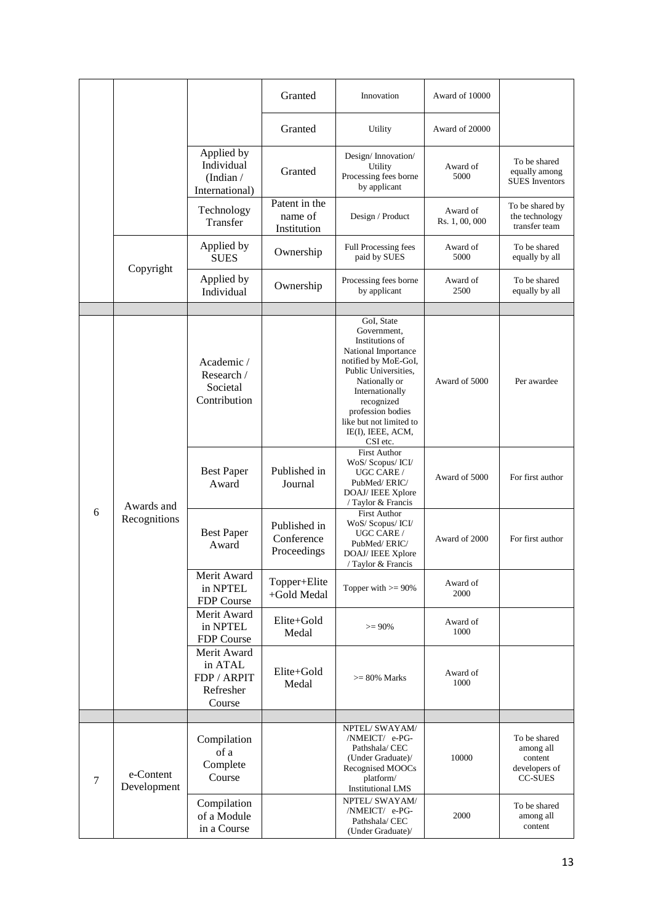|   |                            |                                                              | Granted                                   | Innovation                                                                                                                                                                                                                                             | Award of 10000             |                                                                         |
|---|----------------------------|--------------------------------------------------------------|-------------------------------------------|--------------------------------------------------------------------------------------------------------------------------------------------------------------------------------------------------------------------------------------------------------|----------------------------|-------------------------------------------------------------------------|
|   |                            |                                                              | Granted                                   | Utility                                                                                                                                                                                                                                                | Award of 20000             |                                                                         |
|   |                            | Applied by<br>Individual<br>(Indian $/$<br>International)    | Granted                                   | Design/Innovation/<br>Utility<br>Processing fees borne<br>by applicant                                                                                                                                                                                 | Award of<br>5000           | To be shared<br>equally among<br><b>SUES</b> Inventors                  |
|   |                            | Technology<br>Transfer                                       | Patent in the<br>name of<br>Institution   | Design / Product                                                                                                                                                                                                                                       | Award of<br>Rs. 1, 00, 000 | To be shared by<br>the technology<br>transfer team                      |
|   | Copyright                  | Applied by<br><b>SUES</b>                                    | Ownership                                 | Full Processing fees<br>paid by SUES                                                                                                                                                                                                                   | Award of<br>5000           | To be shared<br>equally by all                                          |
|   |                            | Applied by<br>Individual                                     | Ownership                                 | Processing fees borne<br>by applicant                                                                                                                                                                                                                  | Award of<br>2500           | To be shared<br>equally by all                                          |
|   |                            |                                                              |                                           |                                                                                                                                                                                                                                                        |                            |                                                                         |
|   |                            | Academic /<br>Research /<br>Societal<br>Contribution         |                                           | GoI, State<br>Government,<br>Institutions of<br>National Importance<br>notified by MoE-GoI,<br>Public Universities,<br>Nationally or<br>Internationally<br>recognized<br>profession bodies<br>like but not limited to<br>IE(I), IEEE, ACM,<br>CSI etc. | Award of 5000              | Per awardee                                                             |
|   | Awards and<br>Recognitions | <b>Best Paper</b><br>Award                                   | Published in<br>Journal                   | <b>First Author</b><br>WoS/ Scopus/ ICI/<br>UGC CARE /<br>PubMed/ERIC/<br>DOAJ/ IEEE Xplore<br>/ Taylor & Francis                                                                                                                                      | Award of 5000              | For first author                                                        |
| 6 |                            | <b>Best Paper</b><br>Award                                   | Published in<br>Conference<br>Proceedings | <b>First Author</b><br>WoS/ Scopus/ ICI/<br>UGC CARE /<br>PubMed/ERIC/<br>DOAJ/ IEEE Xplore<br>/ Taylor & Francis                                                                                                                                      | Award of 2000              | For first author                                                        |
|   |                            | Merit Award<br>in NPTEL<br>FDP Course                        | Topper+Elite<br>+Gold Medal               | Topper with $>= 90\%$                                                                                                                                                                                                                                  | Award of<br>2000           |                                                                         |
|   |                            | Merit Award<br>in NPTEL<br>FDP Course                        | Elite+Gold<br>Medal                       | $>= 90%$                                                                                                                                                                                                                                               | Award of<br>1000           |                                                                         |
|   |                            | Merit Award<br>in ATAL<br>FDP / ARPIT<br>Refresher<br>Course | Elite+Gold<br>Medal                       | $>= 80\%$ Marks                                                                                                                                                                                                                                        | Award of<br>1000           |                                                                         |
|   |                            |                                                              |                                           |                                                                                                                                                                                                                                                        |                            |                                                                         |
| 7 | e-Content<br>Development   | Compilation<br>of a<br>Complete<br>Course                    |                                           | NPTEL/ SWAYAM/<br>/NMEICT/ e-PG-<br>Pathshala/ CEC<br>(Under Graduate)/<br>Recognised MOOCs<br>platform/<br><b>Institutional LMS</b>                                                                                                                   | 10000                      | To be shared<br>among all<br>content<br>developers of<br><b>CC-SUES</b> |
|   |                            | Compilation<br>of a Module<br>in a Course                    |                                           | NPTEL/ SWAYAM/<br>/NMEICT/ e-PG-<br>Pathshala/ CEC<br>(Under Graduate)/                                                                                                                                                                                | 2000                       | To be shared<br>among all<br>content                                    |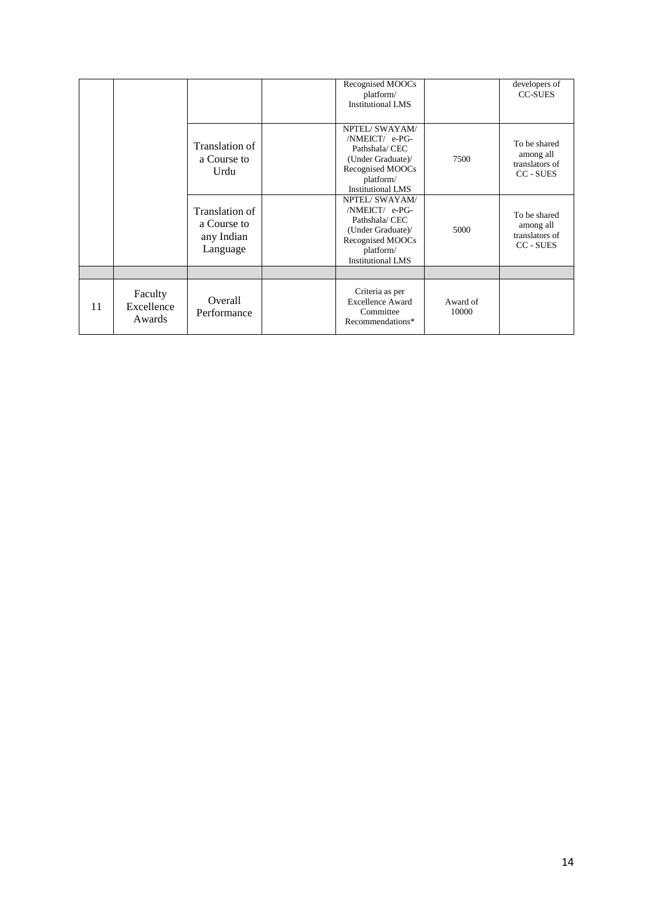|    |                                 |                                                         | Recognised MOOCs<br>platform/<br><b>Institutional LMS</b>                                                                           |                   | developers of<br><b>CC-SUES</b>                          |
|----|---------------------------------|---------------------------------------------------------|-------------------------------------------------------------------------------------------------------------------------------------|-------------------|----------------------------------------------------------|
|    |                                 | Translation of<br>a Course to<br>Urdu                   | NPTEL/SWAYAM/<br>/NMEICT/ e-PG-<br>Pathshala/ CEC<br>(Under Graduate)/<br>Recognised MOOCs<br>platform/<br><b>Institutional LMS</b> | 7500              | To be shared<br>among all<br>translators of<br>CC - SUES |
|    |                                 | Translation of<br>a Course to<br>any Indian<br>Language | NPTEL/SWAYAM/<br>/NMEICT/ e-PG-<br>Pathshala/ CEC<br>(Under Graduate)/<br>Recognised MOOCs<br>platform/<br><b>Institutional LMS</b> | 5000              | To be shared<br>among all<br>translators of<br>CC - SUES |
|    |                                 |                                                         |                                                                                                                                     |                   |                                                          |
| 11 | Faculty<br>Excellence<br>Awards | Overall<br>Performance                                  | Criteria as per<br><b>Excellence Award</b><br>Committee<br>Recommendations*                                                         | Award of<br>10000 |                                                          |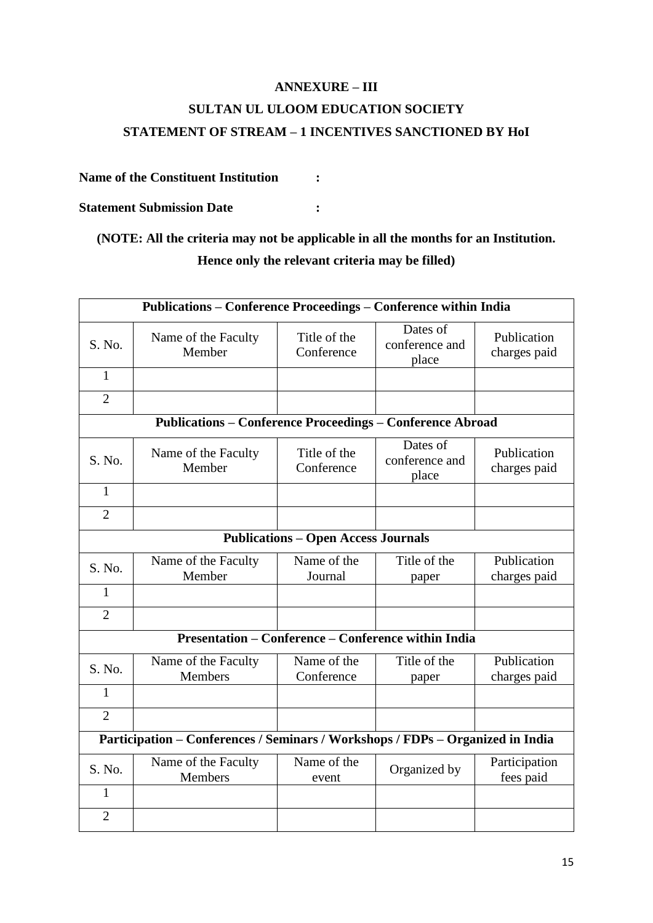# **ANNEXURE – III SULTAN UL ULOOM EDUCATION SOCIETY STATEMENT OF STREAM – 1 INCENTIVES SANCTIONED BY HoI**

#### **Name of the Constituent Institution :**

**Statement Submission Date :**

# **(NOTE: All the criteria may not be applicable in all the months for an Institution. Hence only the relevant criteria may be filled)**

| Publications – Conference Proceedings – Conference within India                |                                                                  |                            |                                     |                             |  |
|--------------------------------------------------------------------------------|------------------------------------------------------------------|----------------------------|-------------------------------------|-----------------------------|--|
| S. No.                                                                         | Name of the Faculty<br>Member                                    | Title of the<br>Conference | Dates of<br>conference and<br>place | Publication<br>charges paid |  |
| $\mathbf{1}$                                                                   |                                                                  |                            |                                     |                             |  |
| $\overline{2}$                                                                 |                                                                  |                            |                                     |                             |  |
|                                                                                | <b>Publications - Conference Proceedings - Conference Abroad</b> |                            |                                     |                             |  |
| S. No.                                                                         | Name of the Faculty<br>Member                                    | Title of the<br>Conference | Dates of<br>conference and<br>place | Publication<br>charges paid |  |
| $\mathbf{1}$                                                                   |                                                                  |                            |                                     |                             |  |
| $\overline{2}$                                                                 |                                                                  |                            |                                     |                             |  |
| <b>Publications - Open Access Journals</b>                                     |                                                                  |                            |                                     |                             |  |
| S. No.                                                                         | Name of the Faculty<br>Member                                    | Name of the<br>Journal     | Title of the<br>paper               | Publication<br>charges paid |  |
| 1                                                                              |                                                                  |                            |                                     |                             |  |
| $\overline{2}$                                                                 |                                                                  |                            |                                     |                             |  |
| <b>Presentation – Conference – Conference within India</b>                     |                                                                  |                            |                                     |                             |  |
| S. No.                                                                         | Name of the Faculty<br>Members                                   | Name of the<br>Conference  | Title of the<br>paper               | Publication<br>charges paid |  |
| 1                                                                              |                                                                  |                            |                                     |                             |  |
| $\overline{2}$                                                                 |                                                                  |                            |                                     |                             |  |
| Participation - Conferences / Seminars / Workshops / FDPs - Organized in India |                                                                  |                            |                                     |                             |  |
| S. No.                                                                         | Name of the Faculty<br>Members                                   | Name of the<br>event       | Organized by                        | Participation<br>fees paid  |  |
| $\mathbf{1}$                                                                   |                                                                  |                            |                                     |                             |  |
| $\overline{2}$                                                                 |                                                                  |                            |                                     |                             |  |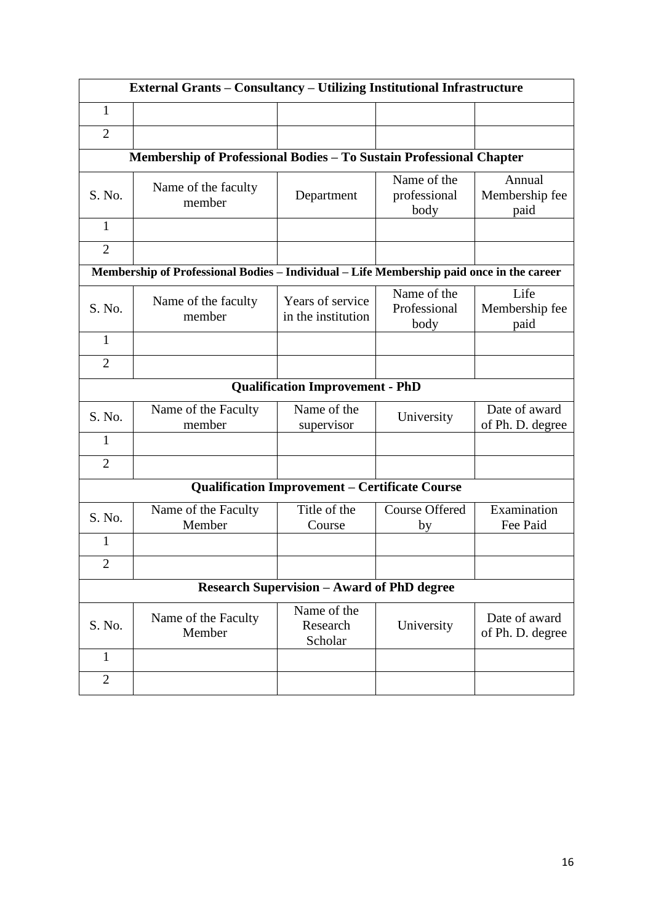| <b>External Grants – Consultancy – Utilizing Institutional Infrastructure</b> |                                                                                          |                                        |                                     |                                   |  |  |  |
|-------------------------------------------------------------------------------|------------------------------------------------------------------------------------------|----------------------------------------|-------------------------------------|-----------------------------------|--|--|--|
| 1                                                                             |                                                                                          |                                        |                                     |                                   |  |  |  |
| $\overline{2}$                                                                |                                                                                          |                                        |                                     |                                   |  |  |  |
|                                                                               | Membership of Professional Bodies - To Sustain Professional Chapter                      |                                        |                                     |                                   |  |  |  |
| S. No.                                                                        | Name of the faculty<br>member                                                            | Department                             | Name of the<br>professional<br>body | Annual<br>Membership fee<br>paid  |  |  |  |
| $\mathbf{1}$                                                                  |                                                                                          |                                        |                                     |                                   |  |  |  |
| $\overline{2}$                                                                |                                                                                          |                                        |                                     |                                   |  |  |  |
|                                                                               | Membership of Professional Bodies - Individual - Life Membership paid once in the career |                                        |                                     |                                   |  |  |  |
| S. No.                                                                        | Name of the faculty<br>member                                                            | Years of service<br>in the institution | Name of the<br>Professional<br>body | Life<br>Membership fee<br>paid    |  |  |  |
| $\mathbf{1}$                                                                  |                                                                                          |                                        |                                     |                                   |  |  |  |
| $\overline{2}$                                                                |                                                                                          |                                        |                                     |                                   |  |  |  |
|                                                                               | <b>Qualification Improvement - PhD</b>                                                   |                                        |                                     |                                   |  |  |  |
| S. No.                                                                        | Name of the Faculty<br>member                                                            | Name of the<br>supervisor              | University                          | Date of award<br>of Ph. D. degree |  |  |  |
| $\mathbf{1}$                                                                  |                                                                                          |                                        |                                     |                                   |  |  |  |
| $\overline{2}$                                                                |                                                                                          |                                        |                                     |                                   |  |  |  |
| <b>Qualification Improvement - Certificate Course</b>                         |                                                                                          |                                        |                                     |                                   |  |  |  |
| S. No.                                                                        | Name of the Faculty<br>Member                                                            | Title of the<br>Course                 | <b>Course Offered</b><br>by         | Examination<br>Fee Paid           |  |  |  |
| 1                                                                             |                                                                                          |                                        |                                     |                                   |  |  |  |
| $\overline{2}$                                                                |                                                                                          |                                        |                                     |                                   |  |  |  |
| <b>Research Supervision - Award of PhD degree</b>                             |                                                                                          |                                        |                                     |                                   |  |  |  |
| S. No.                                                                        | Name of the Faculty<br>Member                                                            | Name of the<br>Research<br>Scholar     | University                          | Date of award<br>of Ph. D. degree |  |  |  |
| $\mathbf{1}$                                                                  |                                                                                          |                                        |                                     |                                   |  |  |  |
| $\overline{2}$                                                                |                                                                                          |                                        |                                     |                                   |  |  |  |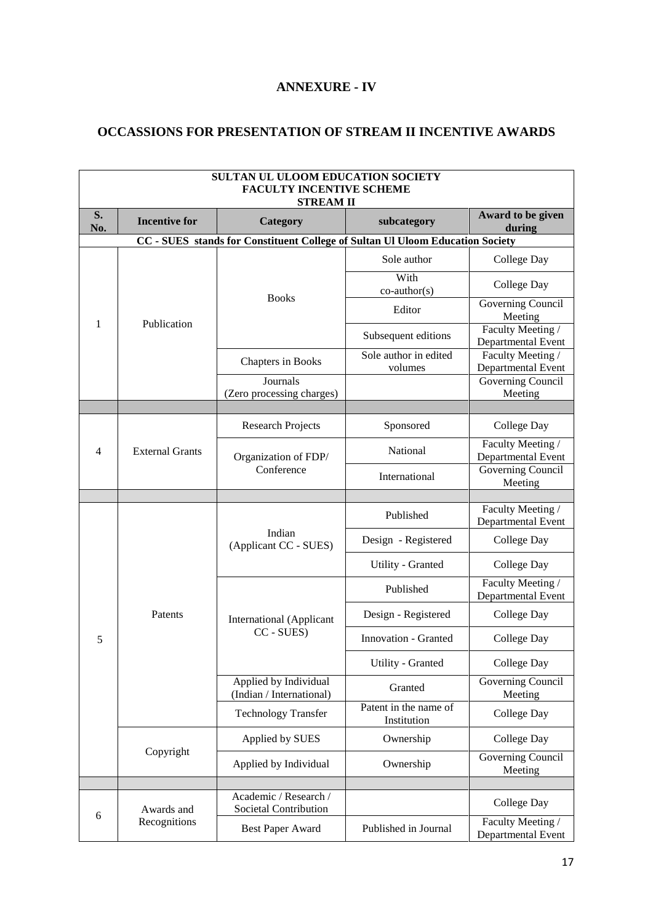# **ANNEXURE - IV**

### **OCCASSIONS FOR PRESENTATION OF STREAM II INCENTIVE AWARDS**

| SULTAN UL ULOOM EDUCATION SOCIETY<br><b>FACULTY INCENTIVE SCHEME</b><br><b>STREAM II</b> |                            |                                                   |                                      |                                         |  |
|------------------------------------------------------------------------------------------|----------------------------|---------------------------------------------------|--------------------------------------|-----------------------------------------|--|
| S.<br>No.                                                                                | <b>Incentive for</b>       | Category                                          | subcategory                          | Award to be given<br>during             |  |
| CC - SUES stands for Constituent College of Sultan Ul Uloom Education Society            |                            |                                                   |                                      |                                         |  |
| 1                                                                                        | Publication                | <b>Books</b>                                      | Sole author                          | College Day                             |  |
|                                                                                          |                            |                                                   | With<br>$co$ -author(s)              | College Day                             |  |
|                                                                                          |                            |                                                   | Editor                               | Governing Council<br>Meeting            |  |
|                                                                                          |                            |                                                   | Subsequent editions                  | Faculty Meeting /<br>Departmental Event |  |
|                                                                                          |                            | Chapters in Books                                 | Sole author in edited<br>volumes     | Faculty Meeting /<br>Departmental Event |  |
|                                                                                          |                            | Journals<br>(Zero processing charges)             |                                      | Governing Council<br>Meeting            |  |
|                                                                                          |                            |                                                   |                                      |                                         |  |
|                                                                                          | <b>External Grants</b>     | <b>Research Projects</b>                          | Sponsored                            | College Day                             |  |
| $\overline{4}$                                                                           |                            | Organization of FDP/                              | National                             | Faculty Meeting /<br>Departmental Event |  |
|                                                                                          |                            | Conference                                        | International                        | Governing Council<br>Meeting            |  |
|                                                                                          |                            |                                                   |                                      |                                         |  |
|                                                                                          | Patents                    | Indian<br>(Applicant CC - SUES)                   | Published                            | Faculty Meeting /<br>Departmental Event |  |
|                                                                                          |                            |                                                   | Design - Registered                  | College Day                             |  |
|                                                                                          |                            |                                                   | Utility - Granted                    | College Day                             |  |
|                                                                                          |                            | <b>International</b> (Applicant                   | Published                            | Faculty Meeting /<br>Departmental Event |  |
|                                                                                          |                            |                                                   | Design - Registered                  | College Day                             |  |
| 5                                                                                        |                            | CC - SUES)                                        | <b>Innovation - Granted</b>          | College Day                             |  |
|                                                                                          |                            |                                                   | Utility - Granted                    | College Day                             |  |
|                                                                                          |                            | Applied by Individual<br>(Indian / International) | Granted                              | Governing Council<br>Meeting            |  |
|                                                                                          |                            | <b>Technology Transfer</b>                        | Patent in the name of<br>Institution | College Day                             |  |
|                                                                                          | Copyright                  | Applied by SUES                                   | Ownership                            | College Day                             |  |
|                                                                                          |                            | Applied by Individual                             | Ownership                            | Governing Council<br>Meeting            |  |
|                                                                                          |                            |                                                   |                                      |                                         |  |
| 6                                                                                        | Awards and<br>Recognitions | Academic / Research /<br>Societal Contribution    |                                      | College Day                             |  |
|                                                                                          |                            | Best Paper Award                                  | Published in Journal                 | Faculty Meeting /<br>Departmental Event |  |